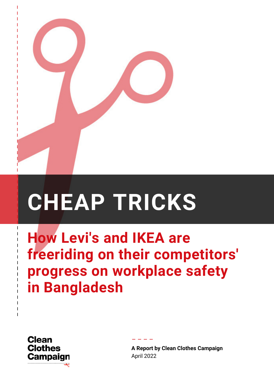

# **CHEAP TRICKS**

**How Levi's and IKEA are freeriding on their competitors' progress on workplace safety in Bangladesh**

– – – –



––––––

––

–––

–

**A Report by Clean Clothes Campaign** April 2022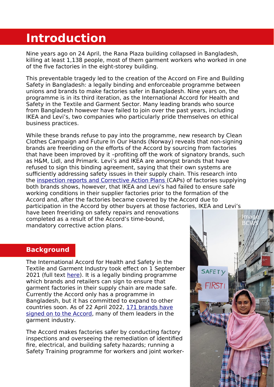## **Introduction**

Nine years ago on 24 April, the Rana Plaza building collapsed in Bangladesh, killing at least 1,138 people, most of them garment workers who worked in one of the five factories in the eight-storey building.

This preventable tragedy led to the creation of the Accord on Fire and Building Safety in Bangladesh: a legally binding and enforceable programme between unions and brands to make factories safer in Bangladesh. Nine years on, the programme is in its third iteration, as the International Accord for Health and Safety in the Textile and Garment Sector. Many leading brands who source from Bangladesh however have failed to join over the past years, including IKEA and Levi's, two companies who particularly pride themselves on ethical business practices.

While these brands refuse to pay into the programme, new research by Clean Clothes Campaign and Future In Our Hands (Norway) reveals that non-signing brands are freeriding on the efforts of the Accord by sourcing from factories that have been improved by it –profiting off the work of signatory brands, such as H&M, Lidl, and Primark. Levi's and IKEA are amongst brands that have refused to sign this binding agreement, saying that their own systems are sufficiently addressing safety issues in their supply chain. This research into the [inspection reports and Corrective Action Plans](https://bangladeshaccord.org/factories) (CAPs) of factories supplying both brands shows, however, that IKEA and Levi's had failed to ensure safe working conditions in their supplier factories prior to the formation of the Accord and, after the factories became covered by the Accord due to participation in the Accord by other buyers at those factories, IKEA and Levi's have been freeriding on safety repairs and renovations completed as a result of the Accord's time-bound, mandatory corrective action plans.

#### **Background**

The International Accord for Health and Safety in the Textile and Garment Industry took effect on 1 September 2021 (full text [here](https://img1.wsimg.com/blobby/go/7b3bb7ce-48dc-42c3-8e58-e961b9604003/downloads/1%20September%20-%20International%20Accord%20on%20Health%20a.pdf?ver=1642152527026)). It is a legally binding programme which brands and retailers can sign to ensure that garment factories in their supply chain are made safe. Currently the Accord only has a programme in Bangladesh, but it has committed to expand to other countries soon. As of 22 April 2022, [171 brands have](https://internationalaccord.org/signatories) [signed on to the Accord,](https://internationalaccord.org/signatories) many of them leaders in the garment industry.

The Accord makes factories safer by conducting factory inspections and overseeing the remediation of identified fire, electrical, and building safety hazards; running a Safety Training programme for workers and joint worker-

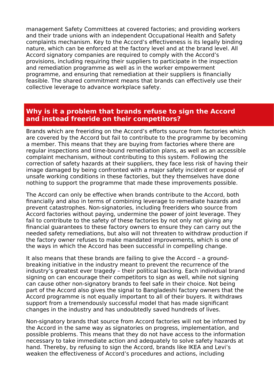management Safety Committees at covered factories; and providing workers and their trade unions with an independent Occupational Health and Safety complaints mechanism. Key to the Accord's effectiveness is its legally binding nature, which can be enforced at the factory level and at the brand level. All Accord signatory companies are required to comply with the Accord's provisions, including requiring their suppliers to participate in the inspection and remediation programme as well as in the worker empowerment programme, and ensuring that remediation at their suppliers is financially feasible. The shared commitment means that brands can effectively use their collective leverage to advance workplace safety.

#### **Why is it a problem that brands refuse to sign the Accord and instead freeride on their competitors?**

Brands which are freeriding on the Accord's efforts source from factories which are covered by the Accord but fail to contribute to the programme by becoming a member. This means that they are buying from factories where there are regular inspections and time-bound remediation plans, as well as an accessible complaint mechanism, without contributing to this system. Following the correction of safety hazards at their suppliers, they face less risk of having their image damaged by being confronted with a major safety incident or exposé of unsafe working conditions in these factories, but they themselves have done nothing to support the programme that made these improvements possible.

The Accord can only be effective when brands contribute to the Accord, both financially and also in terms of combining leverage to remediate hazards and prevent catastrophes. Non-signatories, including freeriders who source from Accord factories without paying, undermine the power of joint leverage. They fail to contribute to the safety of these factories by not only not giving any financial guarantees to these factory owners to ensure they can carry out the needed safety remediations, but also will not threaten to withdraw production if the factory owner refuses to make mandated improvements, which is one of the ways in which the Accord has been successful in compelling change.

It also means that these brands are failing to give the Accord – a groundbreaking initiative in the industry meant to prevent the recurrence of the industry's greatest ever tragedy – their political backing. Each individual brand signing on can encourage their competitors to sign as well, while not signing can cause other non-signatory brands to feel safe in their choice. Not being part of the Accord also gives the signal to Bangladeshi factory owners that the Accord programme is not equally important to all of their buyers. It withdraws support from a tremendously successful model that has made significant changes in the industry and has undoubtedly saved hundreds of lives.

Non-signatory brands that source from Accord factories will not be informed by the Accord in the same way as signatories on progress, implementation, and possible problems. This means that they do not have access to the information necessary to take immediate action and adequately to solve safety hazards at hand. Thereby, by refusing to sign the Accord, brands like IKEA and Levi's weaken the effectiveness of Accord's procedures and actions, including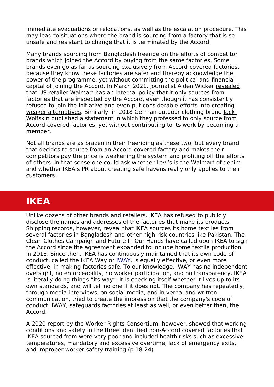immediate evacuations or relocations, as well as the escalation procedure. This may lead to situations where the brand is sourcing from a factory that is so unsafe and resistant to change that it is terminated by the Accord.

Many brands sourcing from Bangladesh freeride on the efforts of competitor brands which joined the Accord by buying from the same factories. Some brands even go as far as sourcing exclusively from Accord-covered factories, because they know these factories are safer and thereby acknowledge the power of the programme, yet without committing the political and financial capital of joining the Accord. In March 2021, journalist Alden Wicker [revealed](https://www.businessoffashion.com/articles/sustainability/brands-say-they-want-to-keep-workers-safe-not-all-are-willing-to-pay-for-it/) that US retailer Walmart has an internal policy that it only sources from factories that are inspected by the Accord, even though it has consistently [refused to join](https://cleanclothes.org/file-repository/resources-background-history-gap-and-walmart-bangladesh/view) the initiative and even put considerable efforts into creating [weaker alternatives.](https://cleanclothes.org/news/2013/07/10/safety-scheme-gap-and-walmart) Similarly, in 2018 German outdoor clothing brand [Jack](https://www.jack-wolfskin.com/2018-04-26-Bangladesch.html)  [Wolfskin](https://www.jack-wolfskin.com/2018-04-26-Bangladesch.html) published a statement in which they professed to only source from Accord-covered factories, yet without contributing to its work by becoming a member.

Not all brands are as brazen in their freeriding as these two, but every brand that decides to source from an Accord-covered factory and makes their competitors pay the price is weakening the system and profiting off the efforts of others. In that sense one could ask whether Levi's is the Walmart of denim and whether IKEA's PR about creating safe havens really only applies to their customers.

## **IKEA**

Unlike dozens of other brands and retailers, IKEA has refused to publicly disclose the names and addresses of the factories that make its products. Shipping records, however, reveal that IKEA sources its home textiles from several factories in Bangladesh and other high-risk countries like Pakistan. The Clean Clothes Campaign and Future In Our Hands have called upon IKEA to sign the Accord since the agreement expanded to include home textile production in 2018. Since then, IKEA has continuously maintained that its own code of conduct, called the IKEA Way or *IWAY*, is equally effective, or even more effective, in making factories safe. To our knowledge, IWAY has no independent oversight, no enforceability, no worker participation, and no transparency. IKEA is literally doing things "its way": it is checking itself whether it lives up to its own standards, and will tell no one if it does not. The company has repeatedly, through media interviews, on social media, and in verbal and written communication, tried to create the impression that the company's code of conduct, IWAY, safeguards factories at least as well, or even better than, the Accord.

A [2020 report](https://www.workersrights.org/research-report/to-create-a-better-everyday-life-for-some-people/) by the Worker Rights Consortium, however, showed that working conditions and safety in the three identified non-Accord covered factories that IKEA sourced from were very poor and included health risks such as excessive temperatures, mandatory and excessive overtime, lack of emergency exits, and improper worker safety training (p.18-24).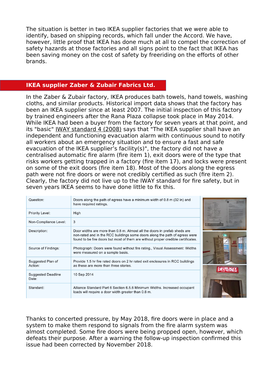The situation is better in two IKEA supplier factories that we were able to identify, based on shipping records, which fall under the Accord. We have, however, little proof that IKEA has done much at all to compel the correction of safety hazards at those factories and all signs point to the fact that IKEA has been saving money on the cost of safety by freeriding on the efforts of other brands.

#### **IKEA supplier Zaber & Zubair Fabrics Ltd.**

In the Zaber & Zubair factory, IKEA produces bath towels, hand towels, washing cloths, and similar products. Historical import data shows that the factory has been an IKEA supplier since at least 2007. The initial inspection of this factory by trained engineers after the Rana Plaza collapse took place in May 2014. While IKEA had been a buyer from the factory for seven years at that point, and its "basic" [IWAY standard 4 \(2008\)](https://www.ikea.com/ms/en_TH/about_ikea/pdf/SCGlobal_IWAYSTDVers4.pdf) says that "The IKEA supplier shall have an independent and functioning evacuation alarm with continuous sound to notify all workers about an emergency situation and to ensure a fast and safe evacuation of the IKEA supplier's facility(s)", the factory did not have a centralised automatic fire alarm (fire item 1), exit doors were of the type that risks workers getting trapped in a factory (fire item 17), and locks were present on some of the exit doors (fire item 18). Most of the doors along the egress path were not fire doors or were not credibly certified as such (fire item 2). Clearly, the factory did not live up to the IWAY standard for fire safety, but in seven years IKEA seems to have done little to fix this.

| Question:                          | Doors along the path of egress have a minimum width of 0.8 m (32 in) and<br>have required ratings.                                                                                                                                            |  |
|------------------------------------|-----------------------------------------------------------------------------------------------------------------------------------------------------------------------------------------------------------------------------------------------|--|
| <b>Priority Level:</b>             | High                                                                                                                                                                                                                                          |  |
| Non-Compliance Level:              | 3                                                                                                                                                                                                                                             |  |
| Description:                       | Door widths are more than 0.8 m. Almost all the doors in prefab sheds are<br>non-rated and in the RCC buildings some doors along the path of egress were<br>found to be fire doors but most of them are without proper credible certificates. |  |
| Source of Findings:                | Photograph: Doors were found without fire rating., Visual Assessment: Widths<br>were measured on a sample basis.                                                                                                                              |  |
| Suggested Plan of<br>Action:       | Provide 1.5 hr fire rated doors on 2 hr rated exit enclosures in RCC buildings<br>as these are more than three stories.                                                                                                                       |  |
| <b>Suggested Deadline</b><br>Date: | 10 Sep 2014                                                                                                                                                                                                                                   |  |
| Standard:                          | Alliance Standard Part 6 Section 6.5.6 Minimum Widths. Increased occupant<br>loads will require a door width greater than 0.8 m.                                                                                                              |  |

Thanks to concerted pressure, by May 2018, fire doors were in place and a system to make them respond to signals from the fire alarm system was almost completed. Some fire doors were being propped open, however, which defeats their purpose. After a warning the follow-up inspection confirmed this issue had been corrected by November 2018.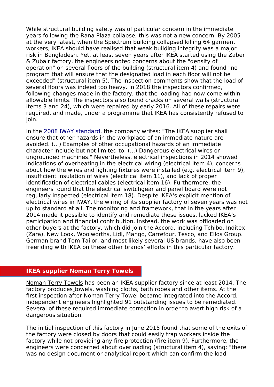While structural building safety was of particular concern in the immediate years following the Rana Plaza collapse, this was not a new concern. By 2005 at the very latest, when the Spectrum building collapsed killing 64 garment workers, IKEA should have realised that weak building integrity was a major risk in Bangladesh. Yet, at least seven years after IKEA started using the Zaber & Zubair factory, the engineers noted concerns about the "density of operation" on several floors of the building (structural item 4) and found "no program that will ensure that the designated load in each floor will not be exceeded" (structural item 5). The inspection comments show that the load of several floors was indeed too heavy. In 2018 the inspectors confirmed, following changes made in the factory, that the loading had now come within allowable limits. The inspectors also found cracks on several walls (structural items 3 and 24), which were repaired by early 2016. All of these repairs were required, and made, under a programme that IKEA has consistently refused to ioin.

In the [2008 IWAY standard,](https://www.ikea.com/ms/en_TH/about_ikea/pdf/SCGlobal_IWAYSTDVers4.pdf) the company writes: "The IKEA supplier shall ensure that other hazards in the workplace of an immediate nature are avoided. (...) Examples of other occupational hazards of an immediate character include but not limited to: (...) Dangerous electrical wires or ungrounded machines." Nevertheless, electrical inspections in 2014 showed indications of overheating in the electrical wiring (electrical item 4), concerns about how the wires and lighting fixtures were installed (e.g. electrical item 9), insufficient insulation of wires (electrical item 11), and lack of proper identification of electrical cables (electrical item 16). Furthermore, the engineers found that the electrical switchgear and panel board were not regularly inspected (electrical item 18). Despite IKEA's explicit mention of electrical wires in IWAY, the wiring of its supplier factory of seven years was not up to standard at all. The monitoring and framework, that in the years after 2014 made it possible to identify and remediate these issues, lacked IKEA's participation and financial contribution. Instead, the work was offloaded on other buyers at the factory, which did join the Accord, including Tchibo, Inditex (Zara), New Look, Woolworths, Lidl, Mango, Carrefour, Tesco, and Ellos Group. German brand Tom Tailor, and most likely several US brands, have also been freeriding with IKEA on these other brands' efforts in this particular factory.

#### **IKEA supplier Noman Terry Towels**

[Noman Terry Towels](http://www.nomangroup.com/nttml/) has been an IKEA supplier factory since [at least 2014. The](https://www.slideserve.com/cally-carlson/noman-terry-towel-mills-limited) [factory produces](https://www.slideserve.com/cally-carlson/noman-terry-towel-mills-limited) towels, washing cloths, bath robes and other items. At the first inspection after Noman Terry Towel became integrated into the Accord, independent engineers highlighted 91 outstanding issues to be remediated. Several of these required immediate correction in order to avert high risk of a dangerous situation.

The initial inspection of this factory in June 2015 found that some of the exits of the factory were closed by doors that could easily trap workers inside the factory while not providing any fire protection (fire item 9). Furthermore, the engineers were concerned about overloading (structural item 4), saying: "there was no design document or analytical report which can confirm the load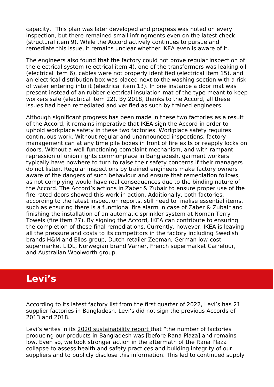capacity." This plan was later developed and progress was noted on every inspection, but there remained small infringments even on the latest check (structural item 9). While the Accord actively continues to pursue and remediate this issue, it remains unclear whether IKEA even is aware of it.

The engineers also found that the factory could not prove regular inspection of the electrical system (electrical item 4), one of the transformers was leaking oil (electrical item 6), cables were not properly identified (electrical item 15), and an electrical distribution box was placed next to the washing section with a risk of water entering into it (electrical item 13). In one instance a door mat was present instead of an rubber electrical insulation mat of the type meant to keep workers safe (electrical item 22). By 2018, thanks to the Accord, all these issues had been remediated and verified as such by trained engineers.

Although significant progress has been made in these two factories as a result of the Accord, it remains imperative that IKEA sign the Accord in order to uphold workplace safety in these two factories. Workplace safety requires continuous work. Without regular and unannounced inspections, factory management can at any time pile boxes in front of fire exits or reapply locks on doors. Without a well-functioning complaint mechanism, and with rampant repression of union rights commonplace in Bangladesh, garment workers typically have nowhere to turn to raise their safety concerns if their managers do not listen. Regular inspections by trained engineers make factory owners aware of the dangers of such behaviour and ensure that remediation follows, as not complying would have real consequences due to the binding nature of the Accord. The Accord's actions in Zaber & Zubair to ensure proper use of the fire-rated doors showed this work in action. Additionally, both factories, according to the latest inspection reports, still need to finalise essential items, such as ensuring there is a functional fire alarm in case of Zaber & Zubair and finishing the installation of an automatic sprinkler system at Noman Terry Towels (fire item 27). By signing the Accord, IKEA can contribute to ensuring the completion of these final remediations. Currently, however, IKEA is leaving all the pressure and costs to its competitors in the factory including Swedish brands H&M and Ellos group, Dutch retailer Zeeman, German low-cost supermarket LIDL, Norwegian brand Varner, French supermarket Carrefour, and Australian Woolworth group.

### **Levi's**

According to its latest factory list from the first quarter of 2022, Levi's has 21 supplier factories in Bangladesh. Levi's did not sign the previous Accords of 2013 and 2018.

Levi's writes in its [2020 sustainability report](https://www.levistrauss.com/sustainability-report/community/supply-chain-going-beyond-compliance/) that "the number of factories producing our products in Bangladesh was [before Rana Plaza] and remains low. Even so, we took stronger action in the aftermath of the Rana Plaza collapse to assess health and safety practices and building integrity of our suppliers and to publicly disclose this information. This led to continued supply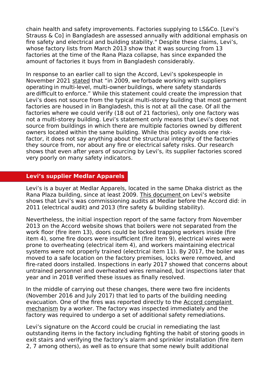chain health and safety improvements. Factories supplying to LS&Co. [Levi's Strauss & Co] in Bangladesh are assessed annually with additional emphasis on fire safety and electrical and building stability." Despite these claims, Levi's, whose factory lists from March 2013 show that it was sourcing from 13 factories at the time of the Rana Plaza collapse, has since expanded the amount of factories it buys from in Bangladesh considerably.

In response to an earlier call to sign the Accord, Levi's spokespeople in November 2021 [stated](https://globaltextilesource.com/news/labor-campaigners-push-levis-to-sign-garment-worker-safety-accord) that "in 2009, we forbade working with suppliers operating in multi-level, multi-owner buildings, where safety standards are difficult to enforce." While this statement could create the impression that Levi's does not source from the typical multi-storey building that most garment factories are housed in in Bangladesh, this is not at all the case. Of all the factories where we could verify (18 out of 21 factories), only one factory was not a multi-storey building. Levi's statement only means that Levi's does not source from buildings in which there are multiple factories owned by different owners located within the same building. While this policy avoids one riskfactor, it does not say anything about the structural integrity of the factories they source from, nor about any fire or electrical safety risks. Our research shows that even after years of sourcing by Levi's, its supplier factories scored very poorly on many safety indicators.

#### **Levi's supplier Medlar Apparels**

Levi's is a buyer at Medlar Apparels, located in the same Dhaka district as the Rana Plaza building, since at least 2009. [This document](https://www.levistrauss.com/wp-content/uploads/2019/04/Bangladesh-Building-Integrity-and-Fire-Safety-2019_final.pdf) on Levi's website shows that Levi's was commissioning audits at Medlar before the Accord did: in 2011 (electrical audit) and 2013 (fire safety & building stability).

Nevertheless, the initial inspection report of the same factory from November 2013 on the Accord website shows that boilers were not separated from the work floor (fire item 13), doors could be locked trapping workers inside (fire item 4), some fire doors were insufficient (fire item 9), electrical wires were prone to overheating (electrical item 4), and workers maintaining electrical systems were not properly trained (electrical item 11). By 2017, the boiler was moved to a safe location on the factory premises, locks were removed, and fire-rated doors installed. Inspections in early 2017 showed that concerns about untrained personnel and overheated wires remained, but inspections later that year and in 2018 verified these issues as finally resolved.

In the middle of carrying out these changes, there were two fire incidents (November 2016 and July 2017) that led to parts of the building needing evacuation. One of the fires was reported directly to the Accord complaint [mechanism](https://bangladeshaccord.org/safety-complaints) by a worker. The factory was inspected immediately and the factory was required to undergo a set of additional safety remediations.

Levi's signature on the Accord could be crucial in remediating the last outstanding items in the factory including fighting the habit of storing goods in exit stairs and verifying the factory's alarm and sprinkler installation (fire item 2, 7 among others), as well as to ensure that some newly built additional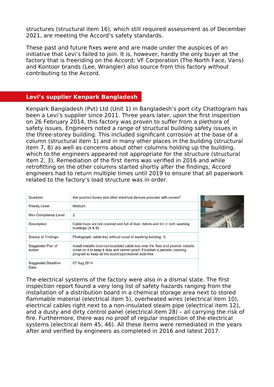structures (structural item 16), which still required assessment as of December 2021, are meeting the Accord's safety standards.

These past and future fixes were and are made under the auspices of an initiative that Levi's failed to join. It is, however, hardly the only buyer at the factory that is freeriding on the Accord; VF Corporation (The North Face, Vans) and Kontoor brands (Lee, Wrangler) also source from this factory without contributing to the Accord.

#### **Levi's supplier Kenpark Bangladesh**

Kenpark Bangladesh (Pvt) Ltd (Unit 1) in Bangladesh's port city Chattogram has been a Levi's supplier since 2011. Three years later, upon the first inspection on 26 February 2014, this factory was proven to suffer from a plethora of safety issues. Engineers noted a range of structural building safety issues in the three-storey building. This included significant corrosion at the base of a column (structural item 1) and in many other places in the building (structural item 7, 8) as well as concerns about other columns holding up the building, which to the engineers appeared not appropriate for the structure (structural item 2, 3). Remediation of the first items was verified in 2016 and while retrofitting on the other columns started shortly after the findings, Accord engineers had to return multiple times until 2019 to ensure that all paperwork related to the factory's load structure was in order.

| Question:                          | Are junction boxes and other electrical devices provided with covers?                                                                                                                                                     |  |
|------------------------------------|---------------------------------------------------------------------------------------------------------------------------------------------------------------------------------------------------------------------------|--|
| Priority Level:                    | Medium                                                                                                                                                                                                                    |  |
| Non-Compliance Level:              | 2                                                                                                                                                                                                                         |  |
| Description:                       | Cable trays are not covered and full of dust, debris and lint in both washing<br>buildings (A & B).                                                                                                                       |  |
| Source of Findings:                | Photograph: cable tray without cover in washing building-A.                                                                                                                                                               |  |
| Suggested Plan of<br>Action:       | Install metallic (non-combustible) cable tray over the floor and provide metallic<br>cover on it to keep it dust and vermin proof. Establish a periodic cleaning<br>program to keep all the duct/trays/channel dust-free. |  |
| <b>Suggested Deadline</b><br>Date: | 07 Aug 2014                                                                                                                                                                                                               |  |



The electrical systems of the factory were also in a dismal state. The first inspection report found a very long list of safety hazards ranging from the installation of a distribution board in a chemical storage area next to stored flammable material (electrical item 5), overheated wires (electrical item 10), electrical cables right next to a non-insulated steam pipe (electrical item 12), and a dusty and dirty control panel (electrical item 28) – all carrying the risk of fire. Furthermore, there was no proof of regular inspection of the electrical systems (electrical item 45, 46). All these items were remediated in the years after and verified by engineers as completed in 2016 and latest 2017.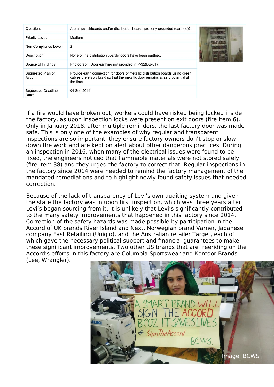| Question:                          | Are all switchboards and/or distribution boards properly grounded (earthed)?                                                                                                   |  |
|------------------------------------|--------------------------------------------------------------------------------------------------------------------------------------------------------------------------------|--|
| Priority Level:                    | Medium                                                                                                                                                                         |  |
| Non-Compliance Level:              | $\overline{2}$                                                                                                                                                                 |  |
| Description:                       | None of the distribution boards' doors have been earthed.                                                                                                                      |  |
| Source of Findings:                | Photograph: Door earthing not provided in P-32(DB-01).                                                                                                                         |  |
| Suggested Plan of<br>Action:       | Provide earth connection for doors of metallic distribution boards using green<br>cables preferably braid so that the metallic door remains at zero potential all<br>the time. |  |
| <b>Suggested Deadline</b><br>Date: | 04 Sep 2014                                                                                                                                                                    |  |



If a fire would have broken out, workers could have risked being locked inside the factory, as upon inspection locks were present on exit doors (fire item 6). Only in January 2018, after multiple reminders, the last factory door was made safe. This is only one of the examples of why regular and transparent inspections are so important: they ensure factory owners don't stop or slow down the work and are kept on alert about other dangerous practices. During an inspection in 2016, when many of the electrical issues were found to be fixed, the engineers noticed that flammable materials were not stored safely (fire item 38) and they urged the factory to correct that. Regular inspections in the factory since 2014 were needed to remind the factory management of the mandated remediations and to highlight newly found safety issues that needed correction.

Because of the lack of transparency of Levi's own auditing system and given the state the factory was in upon first inspection, which was three years after Levi's began sourcing from it, it is unlikely that Levi's significantly contributed to the many safety improvements that happened in this factory since 2014. Correction of the safety hazards was made possible by participation in the Accord of UK brands River Island and Next, Norwegian brand Varner, Japanese company Fast Retailing (Uniqlo), and the Australian retailer Target, each of which gave the necessary political support and financial guarantees to make these significant improvements. Two other US brands that are freeriding on the Accord's efforts in this factory are Columbia Sportswear and Kontoor Brands (Lee, Wrangler).